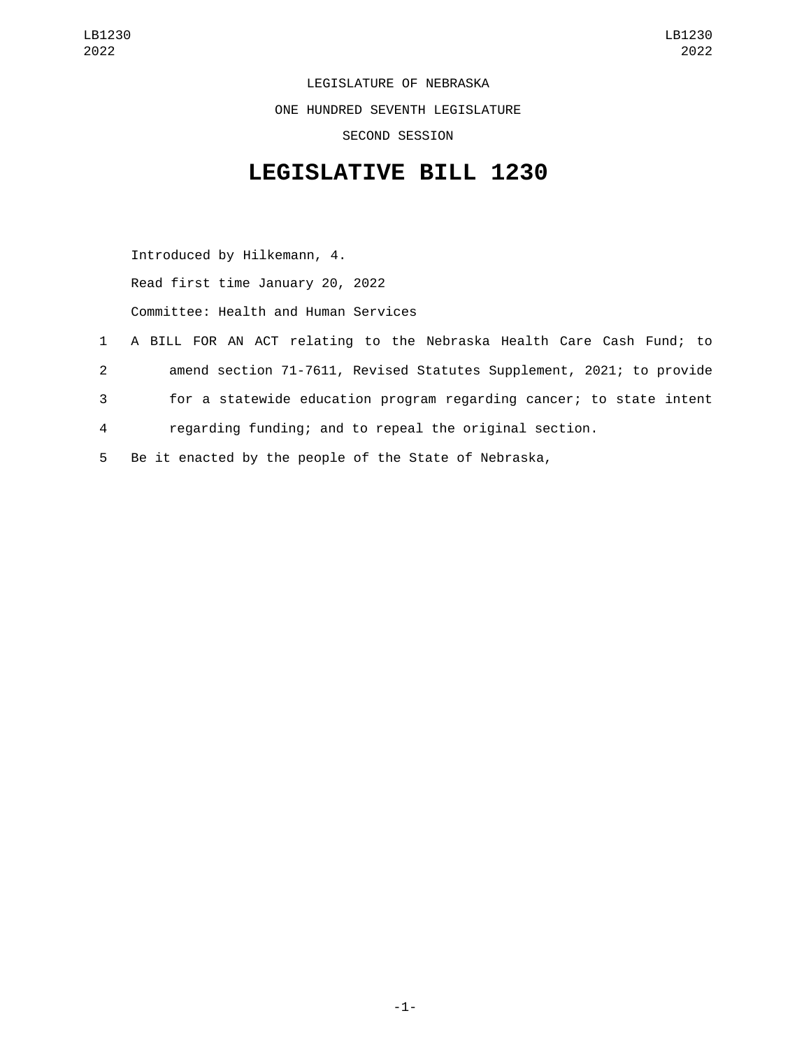LEGISLATURE OF NEBRASKA ONE HUNDRED SEVENTH LEGISLATURE SECOND SESSION

## **LEGISLATIVE BILL 1230**

Introduced by Hilkemann, 4. Read first time January 20, 2022 Committee: Health and Human Services

- 1 A BILL FOR AN ACT relating to the Nebraska Health Care Cash Fund; to 2 amend section 71-7611, Revised Statutes Supplement, 2021; to provide 3 for a statewide education program regarding cancer; to state intent 4 regarding funding; and to repeal the original section.
- 5 Be it enacted by the people of the State of Nebraska,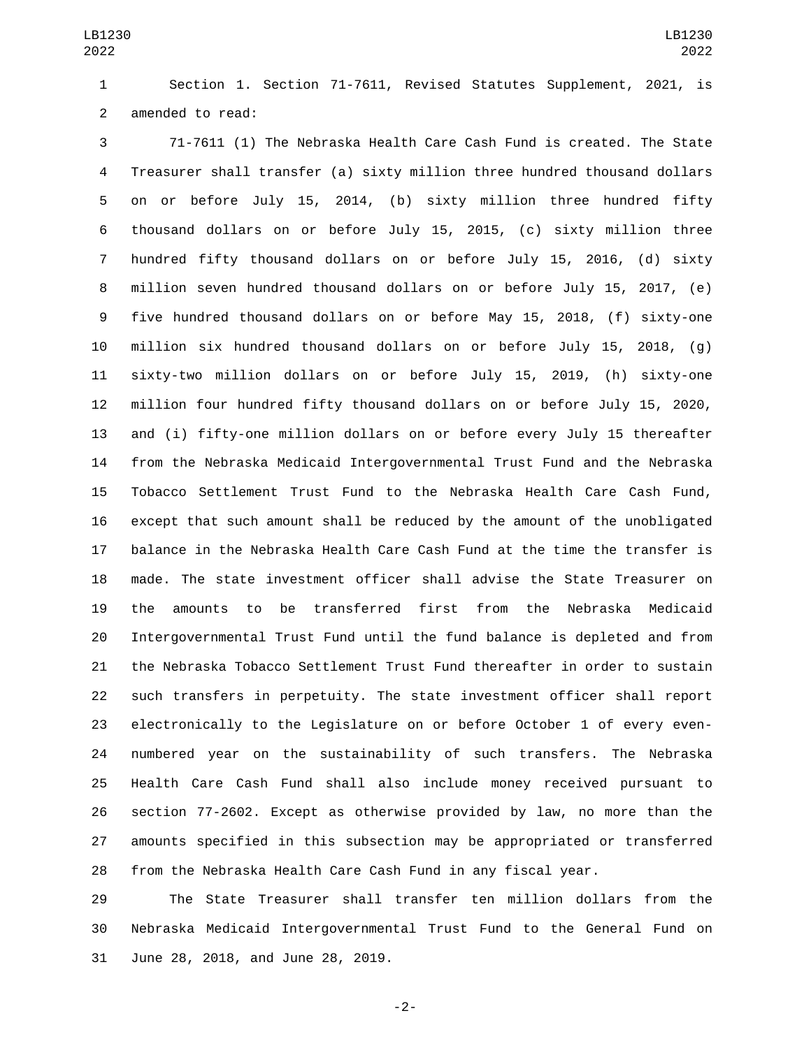Section 1. Section 71-7611, Revised Statutes Supplement, 2021, is 2 amended to read:

 71-7611 (1) The Nebraska Health Care Cash Fund is created. The State Treasurer shall transfer (a) sixty million three hundred thousand dollars on or before July 15, 2014, (b) sixty million three hundred fifty thousand dollars on or before July 15, 2015, (c) sixty million three hundred fifty thousand dollars on or before July 15, 2016, (d) sixty million seven hundred thousand dollars on or before July 15, 2017, (e) five hundred thousand dollars on or before May 15, 2018, (f) sixty-one million six hundred thousand dollars on or before July 15, 2018, (g) sixty-two million dollars on or before July 15, 2019, (h) sixty-one million four hundred fifty thousand dollars on or before July 15, 2020, and (i) fifty-one million dollars on or before every July 15 thereafter from the Nebraska Medicaid Intergovernmental Trust Fund and the Nebraska Tobacco Settlement Trust Fund to the Nebraska Health Care Cash Fund, except that such amount shall be reduced by the amount of the unobligated balance in the Nebraska Health Care Cash Fund at the time the transfer is made. The state investment officer shall advise the State Treasurer on the amounts to be transferred first from the Nebraska Medicaid Intergovernmental Trust Fund until the fund balance is depleted and from the Nebraska Tobacco Settlement Trust Fund thereafter in order to sustain such transfers in perpetuity. The state investment officer shall report electronically to the Legislature on or before October 1 of every even- numbered year on the sustainability of such transfers. The Nebraska Health Care Cash Fund shall also include money received pursuant to section 77-2602. Except as otherwise provided by law, no more than the amounts specified in this subsection may be appropriated or transferred from the Nebraska Health Care Cash Fund in any fiscal year.

 The State Treasurer shall transfer ten million dollars from the Nebraska Medicaid Intergovernmental Trust Fund to the General Fund on 31 June 28, 2018, and June 28, 2019.

-2-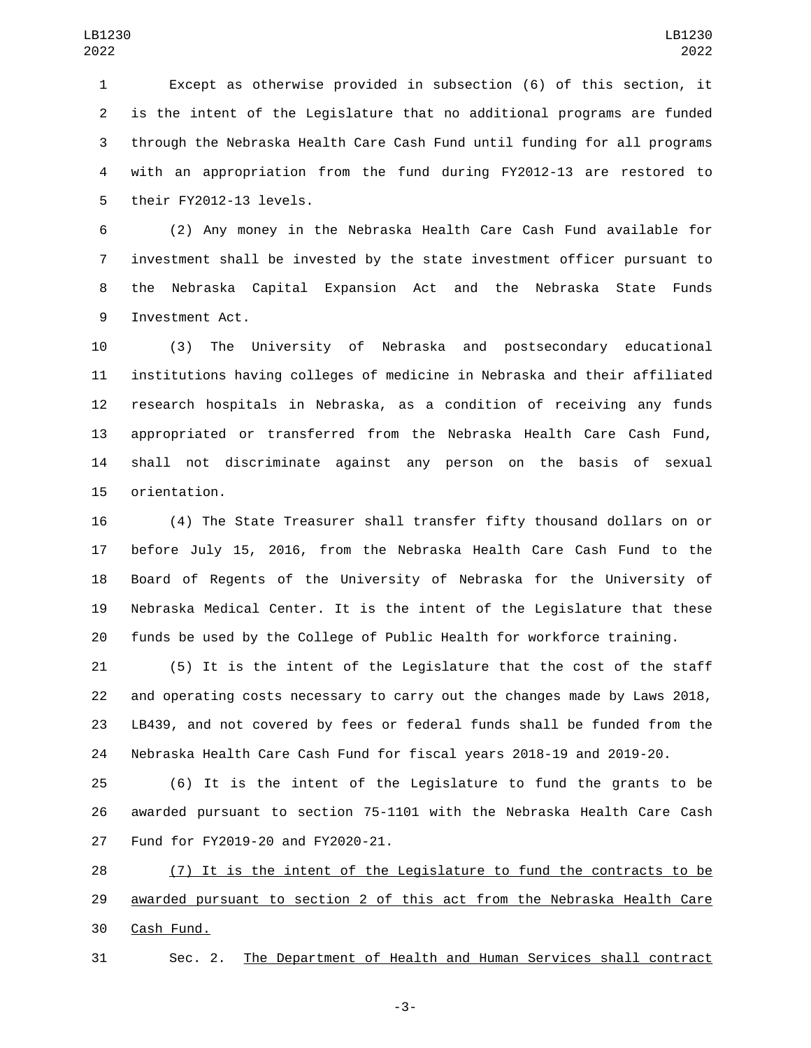Except as otherwise provided in subsection (6) of this section, it is the intent of the Legislature that no additional programs are funded through the Nebraska Health Care Cash Fund until funding for all programs with an appropriation from the fund during FY2012-13 are restored to 5 their FY2012-13 levels.

 (2) Any money in the Nebraska Health Care Cash Fund available for investment shall be invested by the state investment officer pursuant to the Nebraska Capital Expansion Act and the Nebraska State Funds 9 Investment Act.

 (3) The University of Nebraska and postsecondary educational institutions having colleges of medicine in Nebraska and their affiliated research hospitals in Nebraska, as a condition of receiving any funds appropriated or transferred from the Nebraska Health Care Cash Fund, shall not discriminate against any person on the basis of sexual 15 orientation.

 (4) The State Treasurer shall transfer fifty thousand dollars on or before July 15, 2016, from the Nebraska Health Care Cash Fund to the Board of Regents of the University of Nebraska for the University of Nebraska Medical Center. It is the intent of the Legislature that these funds be used by the College of Public Health for workforce training.

 (5) It is the intent of the Legislature that the cost of the staff and operating costs necessary to carry out the changes made by Laws 2018, LB439, and not covered by fees or federal funds shall be funded from the Nebraska Health Care Cash Fund for fiscal years 2018-19 and 2019-20.

 (6) It is the intent of the Legislature to fund the grants to be awarded pursuant to section 75-1101 with the Nebraska Health Care Cash 27 Fund for FY2019-20 and FY2020-21.

 (7) It is the intent of the Legislature to fund the contracts to be awarded pursuant to section 2 of this act from the Nebraska Health Care 30 Cash Fund.

Sec. 2. The Department of Health and Human Services shall contract

-3-